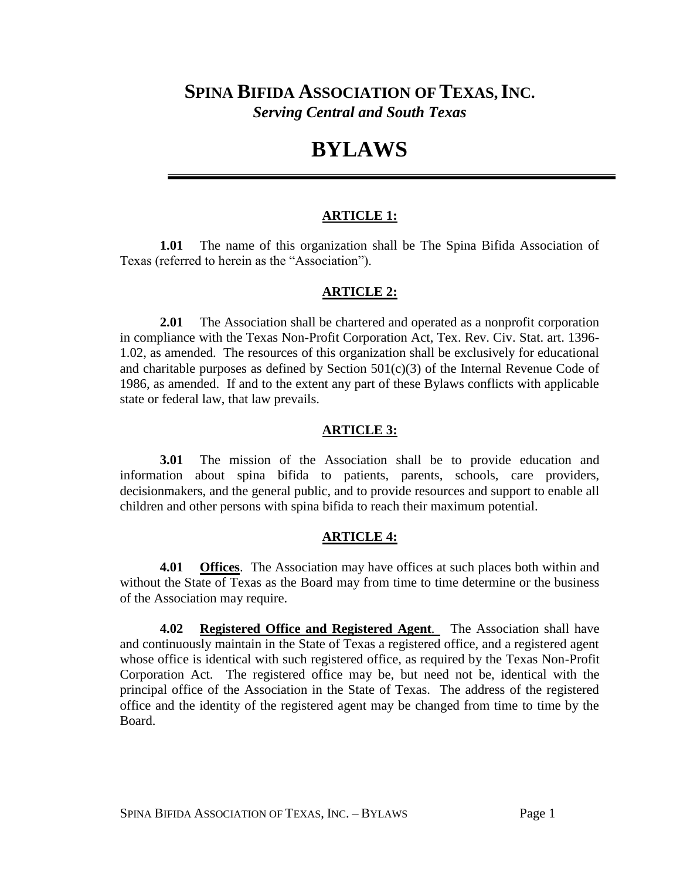## **SPINA BIFIDA ASSOCIATION OFTEXAS,INC.** *Serving Central and South Texas*

# **BYLAWS**

#### **ARTICLE 1:**

**1.01** The name of this organization shall be The Spina Bifida Association of Texas (referred to herein as the "Association").

#### **ARTICLE 2:**

**2.01** The Association shall be chartered and operated as a nonprofit corporation in compliance with the Texas Non-Profit Corporation Act, Tex. Rev. Civ. Stat. art. 1396- 1.02, as amended. The resources of this organization shall be exclusively for educational and charitable purposes as defined by Section  $501(c)(3)$  of the Internal Revenue Code of 1986, as amended. If and to the extent any part of these Bylaws conflicts with applicable state or federal law, that law prevails.

#### **ARTICLE 3:**

**3.01** The mission of the Association shall be to provide education and information about spina bifida to patients, parents, schools, care providers, decisionmakers, and the general public, and to provide resources and support to enable all children and other persons with spina bifida to reach their maximum potential.

#### **ARTICLE 4:**

**4.01 Offices**. The Association may have offices at such places both within and without the State of Texas as the Board may from time to time determine or the business of the Association may require.

**4.02 Registered Office and Registered Agent***.* The Association shall have and continuously maintain in the State of Texas a registered office, and a registered agent whose office is identical with such registered office, as required by the Texas Non-Profit Corporation Act. The registered office may be, but need not be, identical with the principal office of the Association in the State of Texas. The address of the registered office and the identity of the registered agent may be changed from time to time by the Board.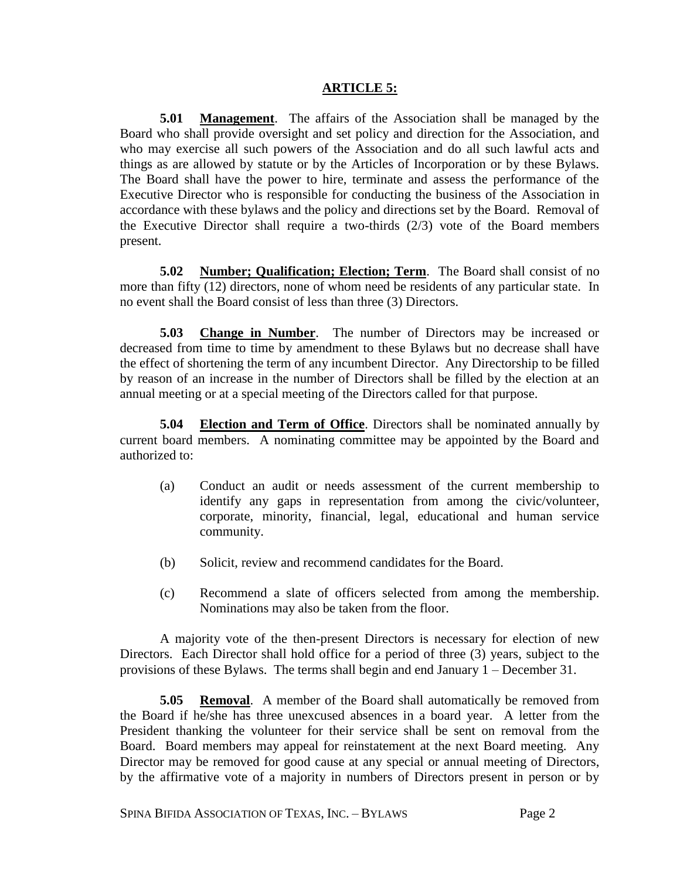#### **ARTICLE 5:**

**5.01 Management**. The affairs of the Association shall be managed by the Board who shall provide oversight and set policy and direction for the Association, and who may exercise all such powers of the Association and do all such lawful acts and things as are allowed by statute or by the Articles of Incorporation or by these Bylaws. The Board shall have the power to hire, terminate and assess the performance of the Executive Director who is responsible for conducting the business of the Association in accordance with these bylaws and the policy and directions set by the Board. Removal of the Executive Director shall require a two-thirds (2/3) vote of the Board members present.

**5.02 Number; Qualification; Election; Term**. The Board shall consist of no more than fifty (12) directors, none of whom need be residents of any particular state. In no event shall the Board consist of less than three (3) Directors.

**5.03 Change in Number**. The number of Directors may be increased or decreased from time to time by amendment to these Bylaws but no decrease shall have the effect of shortening the term of any incumbent Director. Any Directorship to be filled by reason of an increase in the number of Directors shall be filled by the election at an annual meeting or at a special meeting of the Directors called for that purpose.

**5.04 Election and Term of Office**. Directors shall be nominated annually by current board members. A nominating committee may be appointed by the Board and authorized to:

- (a) Conduct an audit or needs assessment of the current membership to identify any gaps in representation from among the civic/volunteer, corporate, minority, financial, legal, educational and human service community.
- (b) Solicit, review and recommend candidates for the Board.
- (c) Recommend a slate of officers selected from among the membership. Nominations may also be taken from the floor.

A majority vote of the then-present Directors is necessary for election of new Directors. Each Director shall hold office for a period of three (3) years, subject to the provisions of these Bylaws. The terms shall begin and end January 1 – December 31.

**5.05 Removal**. A member of the Board shall automatically be removed from the Board if he/she has three unexcused absences in a board year. A letter from the President thanking the volunteer for their service shall be sent on removal from the Board. Board members may appeal for reinstatement at the next Board meeting. Any Director may be removed for good cause at any special or annual meeting of Directors, by the affirmative vote of a majority in numbers of Directors present in person or by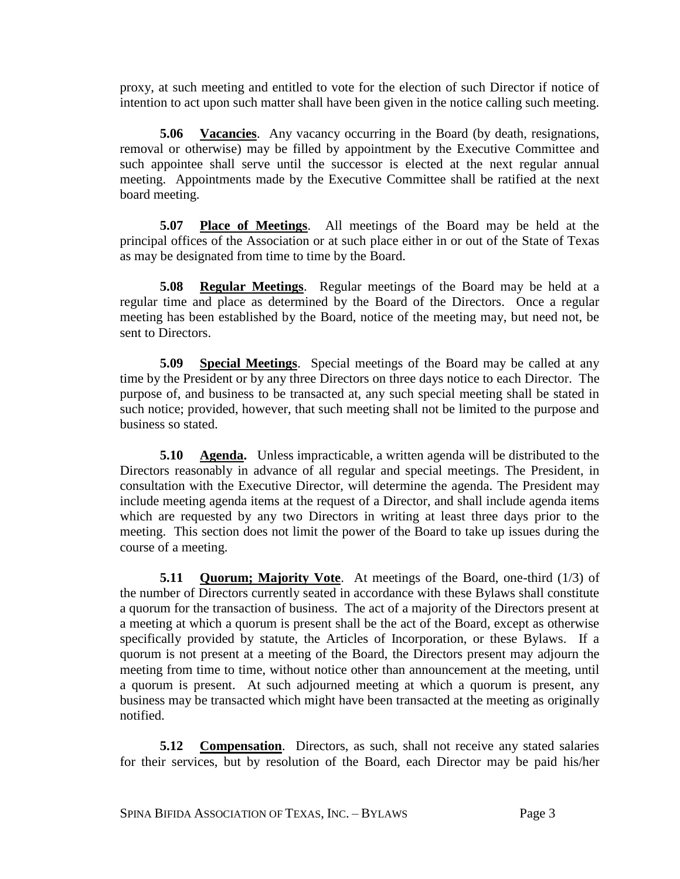proxy, at such meeting and entitled to vote for the election of such Director if notice of intention to act upon such matter shall have been given in the notice calling such meeting.

**5.06 Vacancies**. Any vacancy occurring in the Board (by death, resignations, removal or otherwise) may be filled by appointment by the Executive Committee and such appointee shall serve until the successor is elected at the next regular annual meeting. Appointments made by the Executive Committee shall be ratified at the next board meeting.

**5.07 Place of Meetings**. All meetings of the Board may be held at the principal offices of the Association or at such place either in or out of the State of Texas as may be designated from time to time by the Board.

**5.08 Regular Meetings**. Regular meetings of the Board may be held at a regular time and place as determined by the Board of the Directors. Once a regular meeting has been established by the Board, notice of the meeting may, but need not, be sent to Directors.

**5.09 Special Meetings**. Special meetings of the Board may be called at any time by the President or by any three Directors on three days notice to each Director. The purpose of, and business to be transacted at, any such special meeting shall be stated in such notice; provided, however, that such meeting shall not be limited to the purpose and business so stated.

**5.10 Agenda.** Unless impracticable, a written agenda will be distributed to the Directors reasonably in advance of all regular and special meetings. The President, in consultation with the Executive Director, will determine the agenda. The President may include meeting agenda items at the request of a Director, and shall include agenda items which are requested by any two Directors in writing at least three days prior to the meeting. This section does not limit the power of the Board to take up issues during the course of a meeting.

**5.11 Quorum; Majority Vote**. At meetings of the Board, one-third (1/3) of the number of Directors currently seated in accordance with these Bylaws shall constitute a quorum for the transaction of business. The act of a majority of the Directors present at a meeting at which a quorum is present shall be the act of the Board, except as otherwise specifically provided by statute, the Articles of Incorporation, or these Bylaws. If a quorum is not present at a meeting of the Board, the Directors present may adjourn the meeting from time to time, without notice other than announcement at the meeting, until a quorum is present. At such adjourned meeting at which a quorum is present, any business may be transacted which might have been transacted at the meeting as originally notified.

**5.12 Compensation**. Directors, as such, shall not receive any stated salaries for their services, but by resolution of the Board, each Director may be paid his/her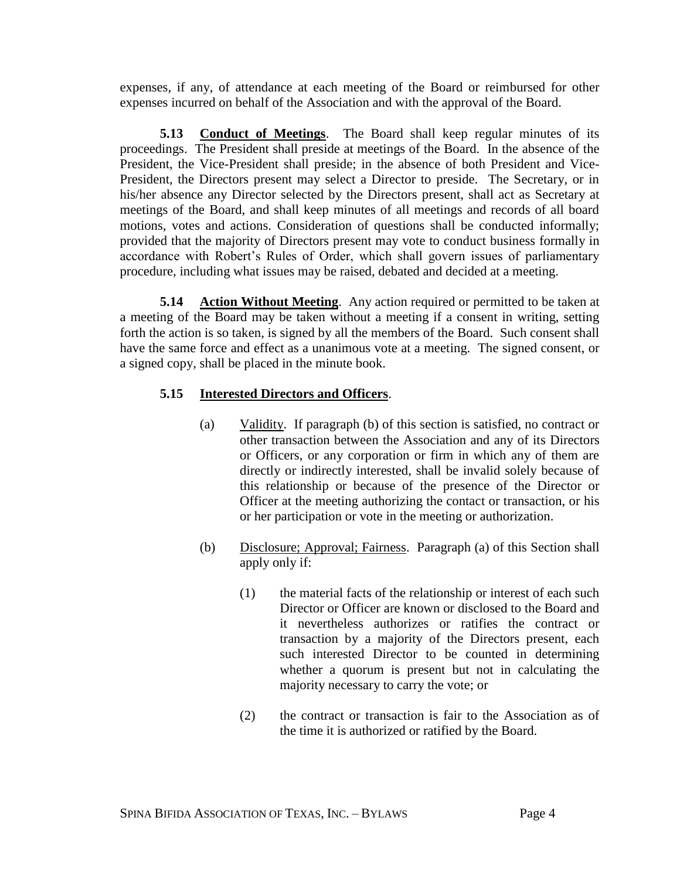expenses, if any, of attendance at each meeting of the Board or reimbursed for other expenses incurred on behalf of the Association and with the approval of the Board.

**5.13 Conduct of Meetings**. The Board shall keep regular minutes of its proceedings. The President shall preside at meetings of the Board. In the absence of the President, the Vice-President shall preside; in the absence of both President and Vice-President, the Directors present may select a Director to preside. The Secretary, or in his/her absence any Director selected by the Directors present, shall act as Secretary at meetings of the Board, and shall keep minutes of all meetings and records of all board motions, votes and actions. Consideration of questions shall be conducted informally; provided that the majority of Directors present may vote to conduct business formally in accordance with Robert's Rules of Order, which shall govern issues of parliamentary procedure, including what issues may be raised, debated and decided at a meeting.

**5.14 Action Without Meeting**. Any action required or permitted to be taken at a meeting of the Board may be taken without a meeting if a consent in writing, setting forth the action is so taken, is signed by all the members of the Board. Such consent shall have the same force and effect as a unanimous vote at a meeting. The signed consent, or a signed copy, shall be placed in the minute book.

## **5.15 Interested Directors and Officers**.

- (a) Validity. If paragraph (b) of this section is satisfied, no contract or other transaction between the Association and any of its Directors or Officers, or any corporation or firm in which any of them are directly or indirectly interested, shall be invalid solely because of this relationship or because of the presence of the Director or Officer at the meeting authorizing the contact or transaction, or his or her participation or vote in the meeting or authorization.
- (b) Disclosure; Approval; Fairness. Paragraph (a) of this Section shall apply only if:
	- (1) the material facts of the relationship or interest of each such Director or Officer are known or disclosed to the Board and it nevertheless authorizes or ratifies the contract or transaction by a majority of the Directors present, each such interested Director to be counted in determining whether a quorum is present but not in calculating the majority necessary to carry the vote; or
	- (2) the contract or transaction is fair to the Association as of the time it is authorized or ratified by the Board.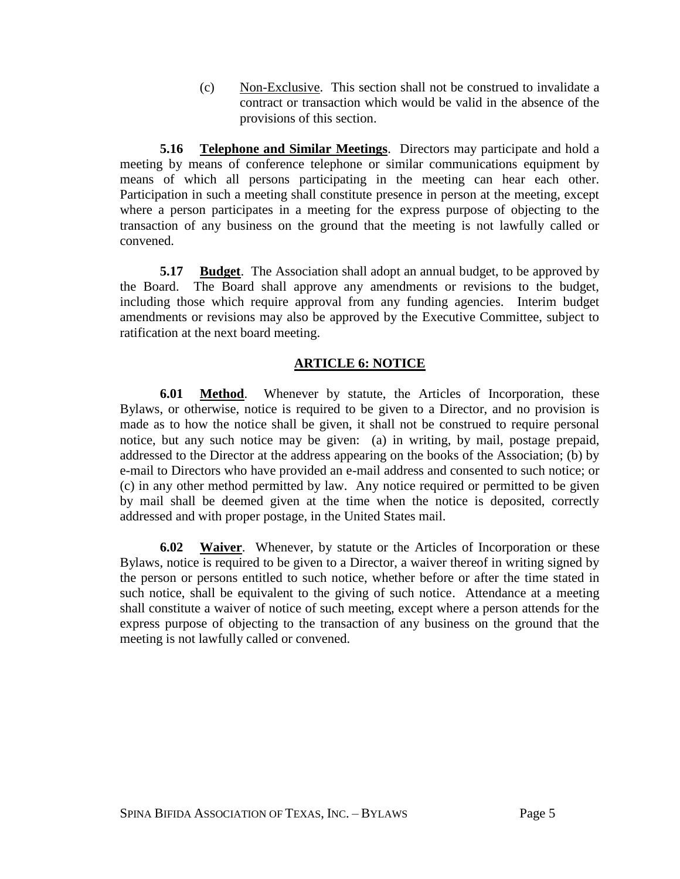(c) Non-Exclusive. This section shall not be construed to invalidate a contract or transaction which would be valid in the absence of the provisions of this section.

**5.16 Telephone and Similar Meetings**. Directors may participate and hold a meeting by means of conference telephone or similar communications equipment by means of which all persons participating in the meeting can hear each other. Participation in such a meeting shall constitute presence in person at the meeting, except where a person participates in a meeting for the express purpose of objecting to the transaction of any business on the ground that the meeting is not lawfully called or convened.

**5.17 Budget**. The Association shall adopt an annual budget, to be approved by the Board. The Board shall approve any amendments or revisions to the budget, including those which require approval from any funding agencies. Interim budget amendments or revisions may also be approved by the Executive Committee, subject to ratification at the next board meeting.

## **ARTICLE 6: NOTICE**

**6.01 Method**. Whenever by statute, the Articles of Incorporation, these Bylaws, or otherwise, notice is required to be given to a Director, and no provision is made as to how the notice shall be given, it shall not be construed to require personal notice, but any such notice may be given: (a) in writing, by mail, postage prepaid, addressed to the Director at the address appearing on the books of the Association; (b) by e-mail to Directors who have provided an e-mail address and consented to such notice; or (c) in any other method permitted by law. Any notice required or permitted to be given by mail shall be deemed given at the time when the notice is deposited, correctly addressed and with proper postage, in the United States mail.

**6.02 Waiver**. Whenever, by statute or the Articles of Incorporation or these Bylaws, notice is required to be given to a Director, a waiver thereof in writing signed by the person or persons entitled to such notice, whether before or after the time stated in such notice, shall be equivalent to the giving of such notice. Attendance at a meeting shall constitute a waiver of notice of such meeting, except where a person attends for the express purpose of objecting to the transaction of any business on the ground that the meeting is not lawfully called or convened.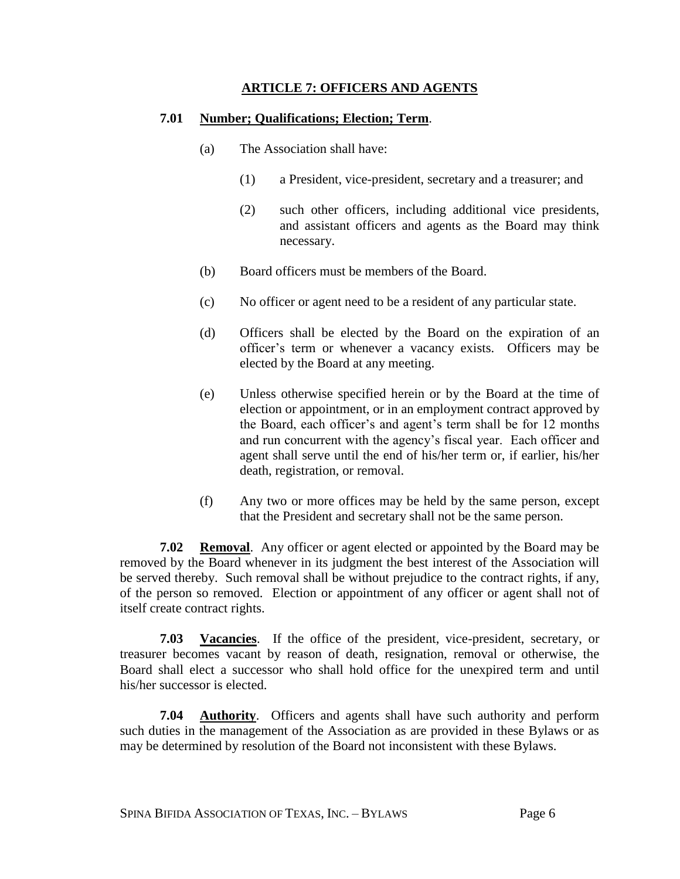#### **ARTICLE 7: OFFICERS AND AGENTS**

#### **7.01 Number; Qualifications; Election; Term**.

- (a) The Association shall have:
	- (1) a President, vice-president, secretary and a treasurer; and
	- (2) such other officers, including additional vice presidents, and assistant officers and agents as the Board may think necessary.
- (b) Board officers must be members of the Board.
- (c) No officer or agent need to be a resident of any particular state.
- (d) Officers shall be elected by the Board on the expiration of an officer's term or whenever a vacancy exists. Officers may be elected by the Board at any meeting.
- (e) Unless otherwise specified herein or by the Board at the time of election or appointment, or in an employment contract approved by the Board, each officer's and agent's term shall be for 12 months and run concurrent with the agency's fiscal year. Each officer and agent shall serve until the end of his/her term or, if earlier, his/her death, registration, or removal.
- (f) Any two or more offices may be held by the same person, except that the President and secretary shall not be the same person.

**7.02 Removal**. Any officer or agent elected or appointed by the Board may be removed by the Board whenever in its judgment the best interest of the Association will be served thereby. Such removal shall be without prejudice to the contract rights, if any, of the person so removed. Election or appointment of any officer or agent shall not of itself create contract rights.

**7.03 Vacancies**. If the office of the president, vice-president, secretary, or treasurer becomes vacant by reason of death, resignation, removal or otherwise, the Board shall elect a successor who shall hold office for the unexpired term and until his/her successor is elected.

**7.04 Authority**. Officers and agents shall have such authority and perform such duties in the management of the Association as are provided in these Bylaws or as may be determined by resolution of the Board not inconsistent with these Bylaws.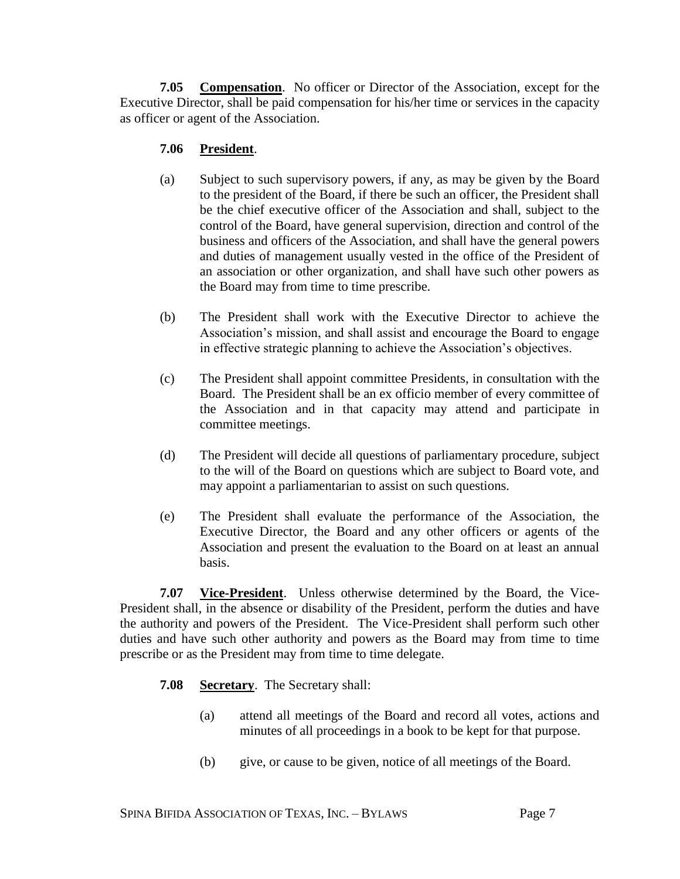**7.05 Compensation**. No officer or Director of the Association, except for the Executive Director, shall be paid compensation for his/her time or services in the capacity as officer or agent of the Association.

## **7.06 President**.

- (a) Subject to such supervisory powers, if any, as may be given by the Board to the president of the Board, if there be such an officer, the President shall be the chief executive officer of the Association and shall, subject to the control of the Board, have general supervision, direction and control of the business and officers of the Association, and shall have the general powers and duties of management usually vested in the office of the President of an association or other organization, and shall have such other powers as the Board may from time to time prescribe.
- (b) The President shall work with the Executive Director to achieve the Association's mission, and shall assist and encourage the Board to engage in effective strategic planning to achieve the Association's objectives.
- (c) The President shall appoint committee Presidents, in consultation with the Board. The President shall be an ex officio member of every committee of the Association and in that capacity may attend and participate in committee meetings.
- (d) The President will decide all questions of parliamentary procedure, subject to the will of the Board on questions which are subject to Board vote, and may appoint a parliamentarian to assist on such questions.
- (e) The President shall evaluate the performance of the Association, the Executive Director, the Board and any other officers or agents of the Association and present the evaluation to the Board on at least an annual basis.

**7.07 Vice-President**. Unless otherwise determined by the Board, the Vice-President shall, in the absence or disability of the President, perform the duties and have the authority and powers of the President. The Vice-President shall perform such other duties and have such other authority and powers as the Board may from time to time prescribe or as the President may from time to time delegate.

- **7.08 Secretary**. The Secretary shall:
	- (a) attend all meetings of the Board and record all votes, actions and minutes of all proceedings in a book to be kept for that purpose.
	- (b) give, or cause to be given, notice of all meetings of the Board.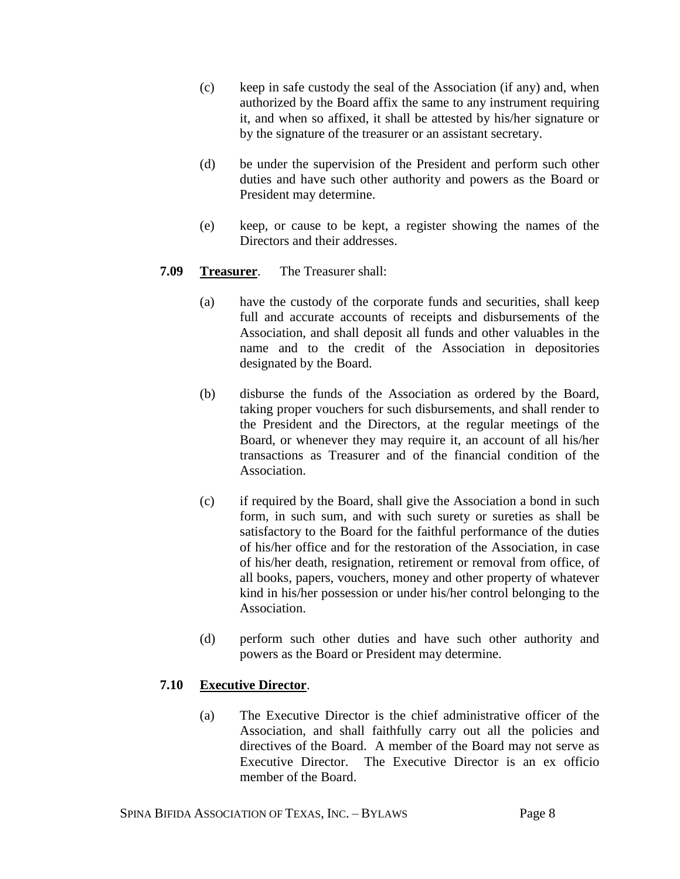- (c) keep in safe custody the seal of the Association (if any) and, when authorized by the Board affix the same to any instrument requiring it, and when so affixed, it shall be attested by his/her signature or by the signature of the treasurer or an assistant secretary.
- (d) be under the supervision of the President and perform such other duties and have such other authority and powers as the Board or President may determine.
- (e) keep, or cause to be kept, a register showing the names of the Directors and their addresses.

## **7.09 Treasurer**. The Treasurer shall:

- (a) have the custody of the corporate funds and securities, shall keep full and accurate accounts of receipts and disbursements of the Association, and shall deposit all funds and other valuables in the name and to the credit of the Association in depositories designated by the Board.
- (b) disburse the funds of the Association as ordered by the Board, taking proper vouchers for such disbursements, and shall render to the President and the Directors, at the regular meetings of the Board, or whenever they may require it, an account of all his/her transactions as Treasurer and of the financial condition of the Association.
- (c) if required by the Board, shall give the Association a bond in such form, in such sum, and with such surety or sureties as shall be satisfactory to the Board for the faithful performance of the duties of his/her office and for the restoration of the Association, in case of his/her death, resignation, retirement or removal from office, of all books, papers, vouchers, money and other property of whatever kind in his/her possession or under his/her control belonging to the Association.
- (d) perform such other duties and have such other authority and powers as the Board or President may determine.

## **7.10 Executive Director**.

(a) The Executive Director is the chief administrative officer of the Association, and shall faithfully carry out all the policies and directives of the Board. A member of the Board may not serve as Executive Director. The Executive Director is an ex officio member of the Board.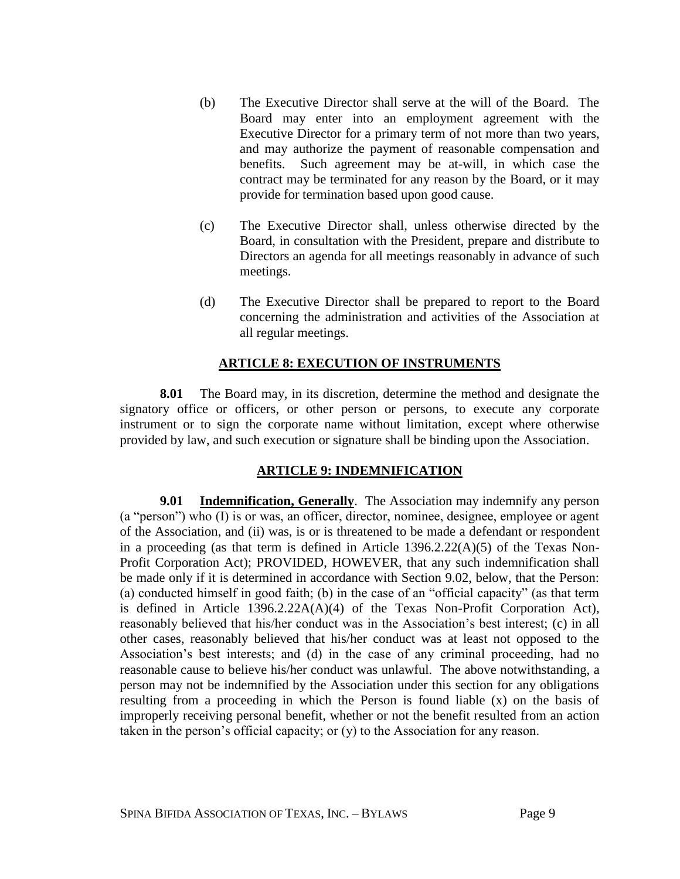- (b) The Executive Director shall serve at the will of the Board. The Board may enter into an employment agreement with the Executive Director for a primary term of not more than two years, and may authorize the payment of reasonable compensation and benefits. Such agreement may be at-will, in which case the contract may be terminated for any reason by the Board, or it may provide for termination based upon good cause.
- (c) The Executive Director shall, unless otherwise directed by the Board, in consultation with the President, prepare and distribute to Directors an agenda for all meetings reasonably in advance of such meetings.
- (d) The Executive Director shall be prepared to report to the Board concerning the administration and activities of the Association at all regular meetings.

#### **ARTICLE 8: EXECUTION OF INSTRUMENTS**

**8.01** The Board may, in its discretion, determine the method and designate the signatory office or officers, or other person or persons, to execute any corporate instrument or to sign the corporate name without limitation, except where otherwise provided by law, and such execution or signature shall be binding upon the Association.

## **ARTICLE 9: INDEMNIFICATION**

**9.01 Indemnification, Generally**. The Association may indemnify any person (a "person") who (I) is or was, an officer, director, nominee, designee, employee or agent of the Association, and (ii) was, is or is threatened to be made a defendant or respondent in a proceeding (as that term is defined in Article 1396.2.22(A)(5) of the Texas Non-Profit Corporation Act); PROVIDED, HOWEVER, that any such indemnification shall be made only if it is determined in accordance with Section 9.02, below, that the Person: (a) conducted himself in good faith; (b) in the case of an "official capacity" (as that term is defined in Article 1396.2.22A(A)(4) of the Texas Non-Profit Corporation Act), reasonably believed that his/her conduct was in the Association's best interest; (c) in all other cases, reasonably believed that his/her conduct was at least not opposed to the Association's best interests; and (d) in the case of any criminal proceeding, had no reasonable cause to believe his/her conduct was unlawful. The above notwithstanding, a person may not be indemnified by the Association under this section for any obligations resulting from a proceeding in which the Person is found liable  $(x)$  on the basis of improperly receiving personal benefit, whether or not the benefit resulted from an action taken in the person's official capacity; or (y) to the Association for any reason.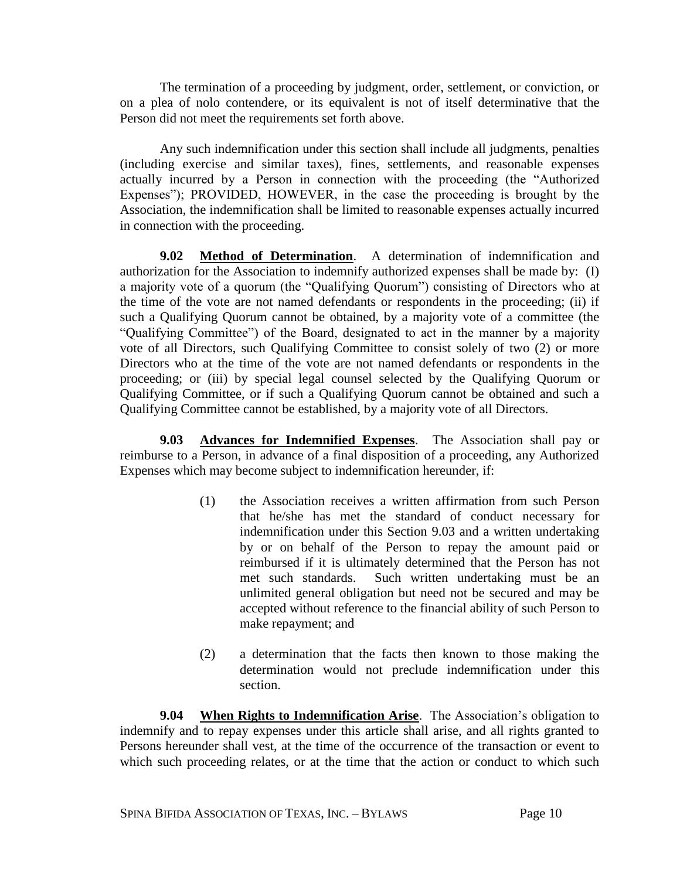The termination of a proceeding by judgment, order, settlement, or conviction, or on a plea of nolo contendere, or its equivalent is not of itself determinative that the Person did not meet the requirements set forth above.

Any such indemnification under this section shall include all judgments, penalties (including exercise and similar taxes), fines, settlements, and reasonable expenses actually incurred by a Person in connection with the proceeding (the "Authorized Expenses"); PROVIDED, HOWEVER, in the case the proceeding is brought by the Association, the indemnification shall be limited to reasonable expenses actually incurred in connection with the proceeding.

**9.02 Method of Determination**. A determination of indemnification and authorization for the Association to indemnify authorized expenses shall be made by: (I) a majority vote of a quorum (the "Qualifying Quorum") consisting of Directors who at the time of the vote are not named defendants or respondents in the proceeding; (ii) if such a Qualifying Quorum cannot be obtained, by a majority vote of a committee (the "Qualifying Committee") of the Board, designated to act in the manner by a majority vote of all Directors, such Qualifying Committee to consist solely of two (2) or more Directors who at the time of the vote are not named defendants or respondents in the proceeding; or (iii) by special legal counsel selected by the Qualifying Quorum or Qualifying Committee, or if such a Qualifying Quorum cannot be obtained and such a Qualifying Committee cannot be established, by a majority vote of all Directors.

**9.03 Advances for Indemnified Expenses**. The Association shall pay or reimburse to a Person, in advance of a final disposition of a proceeding, any Authorized Expenses which may become subject to indemnification hereunder, if:

- (1) the Association receives a written affirmation from such Person that he/she has met the standard of conduct necessary for indemnification under this Section 9.03 and a written undertaking by or on behalf of the Person to repay the amount paid or reimbursed if it is ultimately determined that the Person has not met such standards. Such written undertaking must be an unlimited general obligation but need not be secured and may be accepted without reference to the financial ability of such Person to make repayment; and
- (2) a determination that the facts then known to those making the determination would not preclude indemnification under this section.

**9.04 When Rights to Indemnification Arise**. The Association's obligation to indemnify and to repay expenses under this article shall arise, and all rights granted to Persons hereunder shall vest, at the time of the occurrence of the transaction or event to which such proceeding relates, or at the time that the action or conduct to which such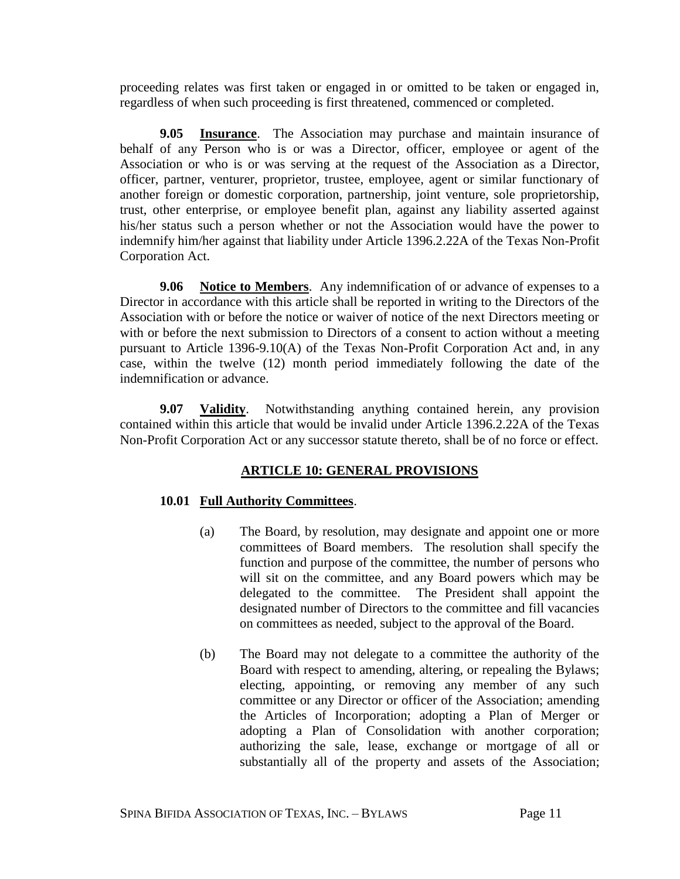proceeding relates was first taken or engaged in or omitted to be taken or engaged in, regardless of when such proceeding is first threatened, commenced or completed.

**9.05 Insurance**. The Association may purchase and maintain insurance of behalf of any Person who is or was a Director, officer, employee or agent of the Association or who is or was serving at the request of the Association as a Director, officer, partner, venturer, proprietor, trustee, employee, agent or similar functionary of another foreign or domestic corporation, partnership, joint venture, sole proprietorship, trust, other enterprise, or employee benefit plan, against any liability asserted against his/her status such a person whether or not the Association would have the power to indemnify him/her against that liability under Article 1396.2.22A of the Texas Non-Profit Corporation Act.

**9.06 Notice to Members**. Any indemnification of or advance of expenses to a Director in accordance with this article shall be reported in writing to the Directors of the Association with or before the notice or waiver of notice of the next Directors meeting or with or before the next submission to Directors of a consent to action without a meeting pursuant to Article 1396-9.10(A) of the Texas Non-Profit Corporation Act and, in any case, within the twelve (12) month period immediately following the date of the indemnification or advance.

**9.07 Validity**. Notwithstanding anything contained herein, any provision contained within this article that would be invalid under Article 1396.2.22A of the Texas Non-Profit Corporation Act or any successor statute thereto, shall be of no force or effect.

## **ARTICLE 10: GENERAL PROVISIONS**

## **10.01 Full Authority Committees**.

- (a) The Board, by resolution, may designate and appoint one or more committees of Board members. The resolution shall specify the function and purpose of the committee, the number of persons who will sit on the committee, and any Board powers which may be delegated to the committee. The President shall appoint the designated number of Directors to the committee and fill vacancies on committees as needed, subject to the approval of the Board.
- (b) The Board may not delegate to a committee the authority of the Board with respect to amending, altering, or repealing the Bylaws; electing, appointing, or removing any member of any such committee or any Director or officer of the Association; amending the Articles of Incorporation; adopting a Plan of Merger or adopting a Plan of Consolidation with another corporation; authorizing the sale, lease, exchange or mortgage of all or substantially all of the property and assets of the Association;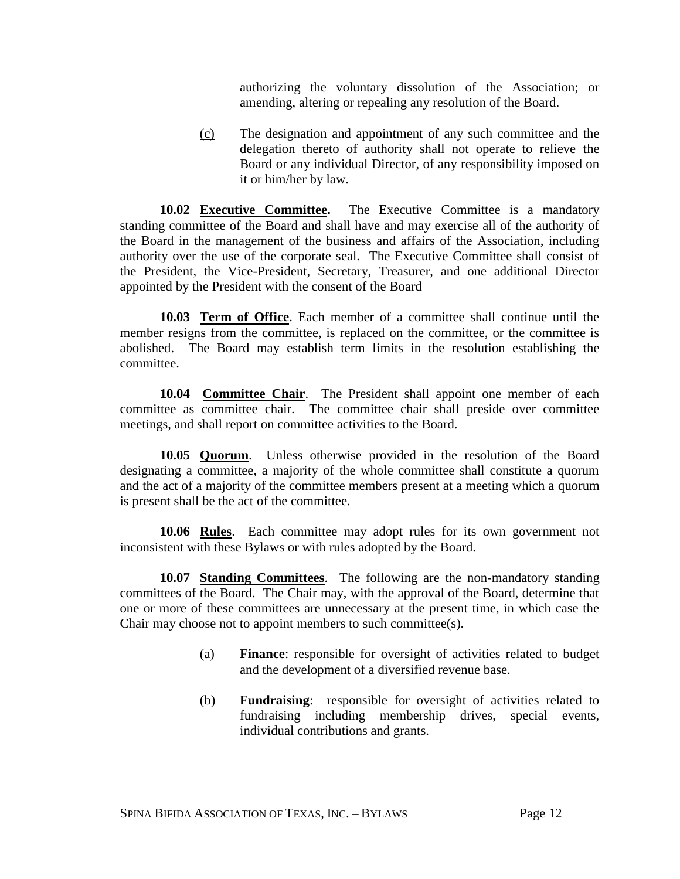authorizing the voluntary dissolution of the Association; or amending, altering or repealing any resolution of the Board.

(c) The designation and appointment of any such committee and the delegation thereto of authority shall not operate to relieve the Board or any individual Director, of any responsibility imposed on it or him/her by law.

**10.02 Executive Committee.** The Executive Committee is a mandatory standing committee of the Board and shall have and may exercise all of the authority of the Board in the management of the business and affairs of the Association, including authority over the use of the corporate seal. The Executive Committee shall consist of the President, the Vice-President, Secretary, Treasurer, and one additional Director appointed by the President with the consent of the Board

**10.03 Term of Office**. Each member of a committee shall continue until the member resigns from the committee, is replaced on the committee, or the committee is abolished. The Board may establish term limits in the resolution establishing the committee.

**10.04 Committee Chair**. The President shall appoint one member of each committee as committee chair. The committee chair shall preside over committee meetings, and shall report on committee activities to the Board.

**10.05 Quorum**. Unless otherwise provided in the resolution of the Board designating a committee, a majority of the whole committee shall constitute a quorum and the act of a majority of the committee members present at a meeting which a quorum is present shall be the act of the committee.

**10.06 Rules**. Each committee may adopt rules for its own government not inconsistent with these Bylaws or with rules adopted by the Board.

**10.07 Standing Committees**. The following are the non-mandatory standing committees of the Board. The Chair may, with the approval of the Board, determine that one or more of these committees are unnecessary at the present time, in which case the Chair may choose not to appoint members to such committee(s).

- (a) **Finance**: responsible for oversight of activities related to budget and the development of a diversified revenue base.
- (b) **Fundraising**: responsible for oversight of activities related to fundraising including membership drives, special events, individual contributions and grants.